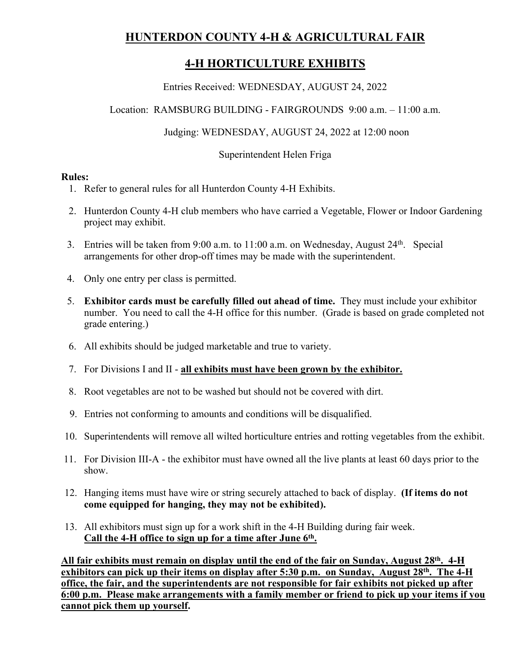# **HUNTERDON COUNTY 4-H & AGRICULTURAL FAIR**

# **4-H HORTICULTURE EXHIBITS**

Entries Received: WEDNESDAY, AUGUST 24, 2022

Location: RAMSBURG BUILDING - FAIRGROUNDS 9:00 a.m. – 11:00 a.m.

Judging: WEDNESDAY, AUGUST 24, 2022 at 12:00 noon

Superintendent Helen Friga

#### **Rules:**

- 1. Refer to general rules for all Hunterdon County 4-H Exhibits.
- 2. Hunterdon County 4-H club members who have carried a Vegetable, Flower or Indoor Gardening project may exhibit.
- 3. Entries will be taken from  $9:00$  a.m. to  $11:00$  a.m. on Wednesday, August  $24<sup>th</sup>$ . Special arrangements for other drop-off times may be made with the superintendent.
- 4. Only one entry per class is permitted.
- 5. **Exhibitor cards must be carefully filled out ahead of time.** They must include your exhibitor number. You need to call the 4-H office for this number. (Grade is based on grade completed not grade entering.)
- 6. All exhibits should be judged marketable and true to variety.
- 7. For Divisions I and II **all exhibits must have been grown by the exhibitor.**
- 8. Root vegetables are not to be washed but should not be covered with dirt.
- 9. Entries not conforming to amounts and conditions will be disqualified.
- 10. Superintendents will remove all wilted horticulture entries and rotting vegetables from the exhibit.
- 11. For Division III-A the exhibitor must have owned all the live plants at least 60 days prior to the show.
- 12. Hanging items must have wire or string securely attached to back of display. **(If items do not come equipped for hanging, they may not be exhibited).**
- 13. All exhibitors must sign up for a work shift in the 4-H Building during fair week. **Call the 4-H office to sign up for a time after June 6th .**

All fair exhibits must remain on display until the end of the fair on Sunday, August 28<sup>th</sup>. 4-H **exhibitors can pick up their items on display after 5:30 p.m. on Sunday, August 28<sup>th</sup>. The 4-H office, the fair, and the superintendents are not responsible for fair exhibits not picked up after 6:00 p.m. Please make arrangements with a family member or friend to pick up your items if you cannot pick them up yourself.**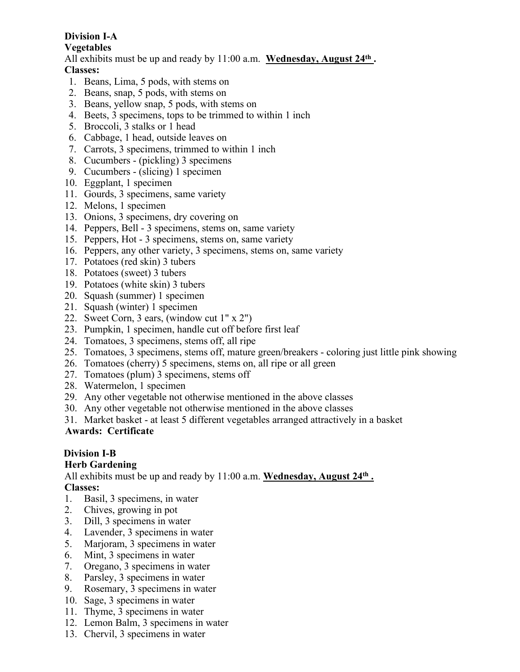# **Division I-A**

#### **Vegetables**

All exhibits must be up and ready by 11:00 a.m. Wednesday, August 24<sup>th</sup>. **Classes:**

- 1. Beans, Lima, 5 pods, with stems on
- 2. Beans, snap, 5 pods, with stems on
- 3. Beans, yellow snap, 5 pods, with stems on
- 4. Beets, 3 specimens, tops to be trimmed to within 1 inch
- 5. Broccoli, 3 stalks or 1 head
- 6. Cabbage, 1 head, outside leaves on
- 7. Carrots, 3 specimens, trimmed to within 1 inch
- 8. Cucumbers (pickling) 3 specimens
- 9. Cucumbers (slicing) 1 specimen
- 10. Eggplant, 1 specimen
- 11. Gourds, 3 specimens, same variety
- 12. Melons, 1 specimen
- 13. Onions, 3 specimens, dry covering on
- 14. Peppers, Bell 3 specimens, stems on, same variety
- 15. Peppers, Hot 3 specimens, stems on, same variety
- 16. Peppers, any other variety, 3 specimens, stems on, same variety
- 17. Potatoes (red skin) 3 tubers
- 18. Potatoes (sweet) 3 tubers
- 19. Potatoes (white skin) 3 tubers
- 20. Squash (summer) 1 specimen
- 21. Squash (winter) 1 specimen
- 22. Sweet Corn, 3 ears, (window cut 1" x 2")
- 23. Pumpkin, 1 specimen, handle cut off before first leaf
- 24. Tomatoes, 3 specimens, stems off, all ripe
- 25. Tomatoes, 3 specimens, stems off, mature green/breakers coloring just little pink showing
- 26. Tomatoes (cherry) 5 specimens, stems on, all ripe or all green
- 27. Tomatoes (plum) 3 specimens, stems off
- 28. Watermelon, 1 specimen
- 29. Any other vegetable not otherwise mentioned in the above classes
- 30. Any other vegetable not otherwise mentioned in the above classes
- 31. Market basket at least 5 different vegetables arranged attractively in a basket

## **Awards: Certificate**

## **Division I-B**

## **Herb Gardening**

All exhibits must be up and ready by 11:00 a.m. Wednesday, August 24<sup>th</sup>.

# **Classes:**

- 1. Basil, 3 specimens, in water
- 2. Chives, growing in pot
- 3. Dill, 3 specimens in water
- 4. Lavender, 3 specimens in water
- 5. Marjoram, 3 specimens in water
- 6. Mint, 3 specimens in water
- 7. Oregano, 3 specimens in water
- 8. Parsley, 3 specimens in water
- 9. Rosemary, 3 specimens in water
- 10. Sage, 3 specimens in water
- 11. Thyme, 3 specimens in water
- 12. Lemon Balm, 3 specimens in water
- 13. Chervil, 3 specimens in water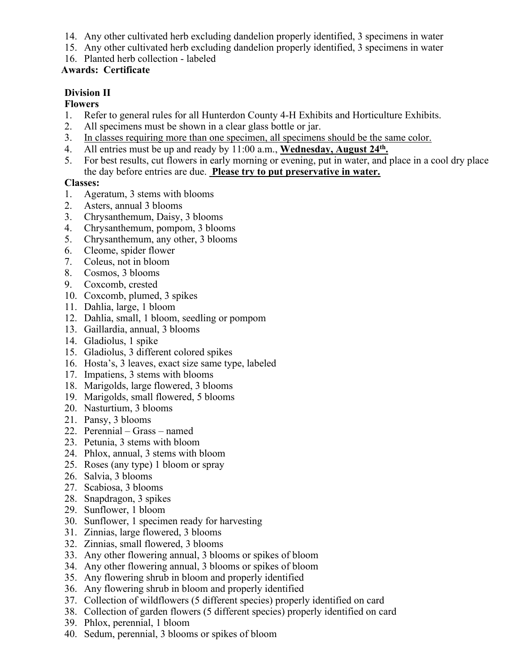- 14. Any other cultivated herb excluding dandelion properly identified, 3 specimens in water
- 15. Any other cultivated herb excluding dandelion properly identified, 3 specimens in water
- 16. Planted herb collection labeled

### **Awards: Certificate**

## **Division II**

### **Flowers**

- 1. Refer to general rules for all Hunterdon County 4-H Exhibits and Horticulture Exhibits.
- 2. All specimens must be shown in a clear glass bottle or jar.
- 3. In classes requiring more than one specimen, all specimens should be the same color.
- 4. All entries must be up and ready by 11:00 a.m., **Wednesday, August 24<sup>th</sup>**.
- 5. For best results, cut flowers in early morning or evening, put in water, and place in a cool dry place the day before entries are due. **Please try to put preservative in water.**

### **Classes:**

- 1. Ageratum, 3 stems with blooms
- 2. Asters, annual 3 blooms
- 3. Chrysanthemum, Daisy, 3 blooms
- 4. Chrysanthemum, pompom, 3 blooms
- 5. Chrysanthemum, any other, 3 blooms
- 6. Cleome, spider flower
- 7. Coleus, not in bloom
- 8. Cosmos, 3 blooms
- 9. Coxcomb, crested
- 10. Coxcomb, plumed, 3 spikes
- 11. Dahlia, large, 1 bloom
- 12. Dahlia, small, 1 bloom, seedling or pompom
- 13. Gaillardia, annual, 3 blooms
- 14. Gladiolus, 1 spike
- 15. Gladiolus, 3 different colored spikes
- 16. Hosta's, 3 leaves, exact size same type, labeled
- 17. Impatiens, 3 stems with blooms
- 18. Marigolds, large flowered, 3 blooms
- 19. Marigolds, small flowered, 5 blooms
- 20. Nasturtium, 3 blooms
- 21. Pansy, 3 blooms
- 22. Perennial Grass named
- 23. Petunia, 3 stems with bloom
- 24. Phlox, annual, 3 stems with bloom
- 25. Roses (any type) 1 bloom or spray
- 26. Salvia, 3 blooms
- 27. Scabiosa, 3 blooms
- 28. Snapdragon, 3 spikes
- 29. Sunflower, 1 bloom
- 30. Sunflower, 1 specimen ready for harvesting
- 31. Zinnias, large flowered, 3 blooms
- 32. Zinnias, small flowered, 3 blooms
- 33. Any other flowering annual, 3 blooms or spikes of bloom
- 34. Any other flowering annual, 3 blooms or spikes of bloom
- 35. Any flowering shrub in bloom and properly identified
- 36. Any flowering shrub in bloom and properly identified
- 37. Collection of wildflowers (5 different species) properly identified on card
- 38. Collection of garden flowers (5 different species) properly identified on card
- 39. Phlox, perennial, 1 bloom
- 40. Sedum, perennial, 3 blooms or spikes of bloom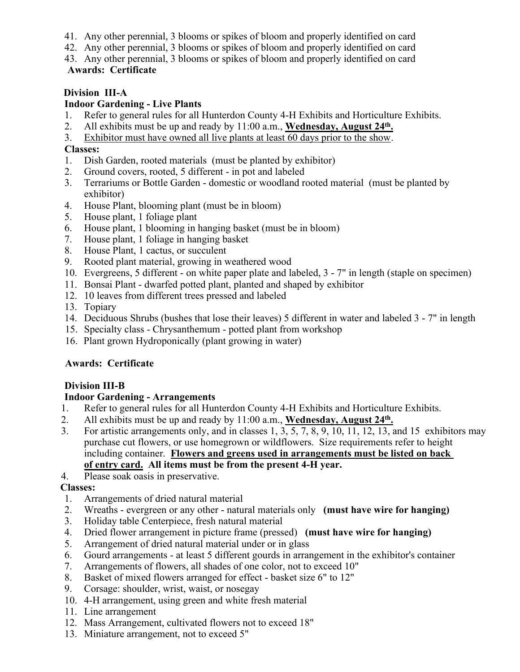- 41. Any other perennial, 3 blooms or spikes of bloom and properly identified on card
- 42. Any other perennial, 3 blooms or spikes of bloom and properly identified on card
- 43. Any other perennial, 3 blooms or spikes of bloom and properly identified on card **Awards: Certificate**

## **Division III-A**

## **Indoor Gardening - Live Plants**

- 1. Refer to general rules for all Hunterdon County 4-H Exhibits and Horticulture Exhibits.
- 2. All exhibits must be up and ready by 11:00 a.m., **Wednesday, August 24<sup>th</sup>**.
- 3. Exhibitor must have owned all live plants at least 60 days prior to the show.

### **Classes:**

- 1. Dish Garden, rooted materials (must be planted by exhibitor)
- 2. Ground covers, rooted, 5 different in pot and labeled
- 3. Terrariums or Bottle Garden domestic or woodland rooted material (must be planted by exhibitor)
- 4. House Plant, blooming plant (must be in bloom)
- 5. House plant, 1 foliage plant
- 6. House plant, 1 blooming in hanging basket (must be in bloom)
- 7. House plant, 1 foliage in hanging basket
- 8. House Plant, 1 cactus, or succulent
- 9. Rooted plant material, growing in weathered wood
- 10. Evergreens, 5 different on white paper plate and labeled, 3 7" in length (staple on specimen)
- 11. Bonsai Plant dwarfed potted plant, planted and shaped by exhibitor
- 12. 10 leaves from different trees pressed and labeled
- 13. Topiary
- 14. Deciduous Shrubs (bushes that lose their leaves) 5 different in water and labeled 3 7" in length
- 15. Specialty class Chrysanthemum potted plant from workshop
- 16. Plant grown Hydroponically (plant growing in water)

## **Awards: Certificate**

## **Division III-B**

## **Indoor Gardening - Arrangements**

- 1. Refer to general rules for all Hunterdon County 4-H Exhibits and Horticulture Exhibits.
- 2. All exhibits must be up and ready by 11:00 a.m., **Wednesday, August 24<sup>th</sup>**.
- 3. For artistic arrangements only, and in classes  $1, 3, 5, 7, 8, 9, 10, 11, 12, 13$ , and 15 exhibitors may purchase cut flowers, or use homegrown or wildflowers. Size requirements refer to height including container. **Flowers and greens used in arrangements must be listed on back of entry card. All items must be from the present 4-H year.**

## 4. Please soak oasis in preservative.

## **Classes:**

- 1. Arrangements of dried natural material
- 2. Wreaths evergreen or any other natural materials only **(must have wire for hanging)**
- 3. Holiday table Centerpiece, fresh natural material
- 4. Dried flower arrangement in picture frame (pressed) **(must have wire for hanging)**
- 5. Arrangement of dried natural material under or in glass
- 6. Gourd arrangements at least 5 different gourds in arrangement in the exhibitor's container
- 7. Arrangements of flowers, all shades of one color, not to exceed 10"
- 8. Basket of mixed flowers arranged for effect basket size 6" to 12"
- 9. Corsage: shoulder, wrist, waist, or nosegay
- 10. 4-H arrangement, using green and white fresh material
- 11. Line arrangement
- 12. Mass Arrangement, cultivated flowers not to exceed 18"
- 13. Miniature arrangement, not to exceed 5"